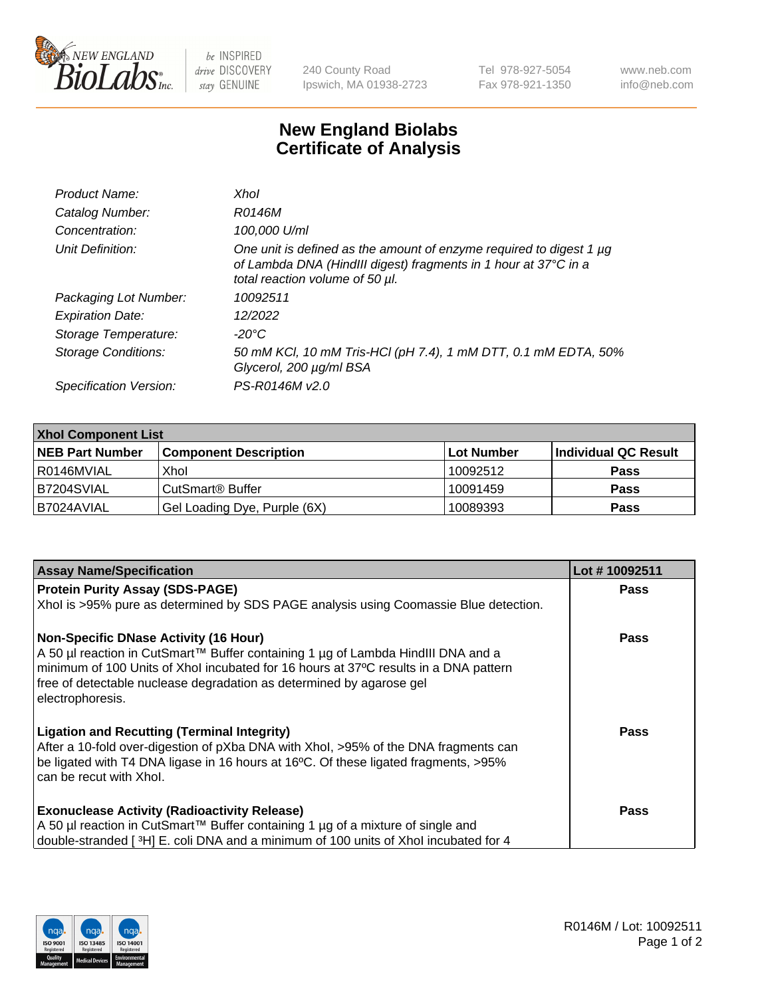

 $be$  INSPIRED drive DISCOVERY stay GENUINE

240 County Road Ipswich, MA 01938-2723 Tel 978-927-5054 Fax 978-921-1350 www.neb.com info@neb.com

## **New England Biolabs Certificate of Analysis**

| Product Name:           | Xhol                                                                                                                                                                      |
|-------------------------|---------------------------------------------------------------------------------------------------------------------------------------------------------------------------|
| Catalog Number:         | R0146M                                                                                                                                                                    |
| Concentration:          | 100,000 U/ml                                                                                                                                                              |
| Unit Definition:        | One unit is defined as the amount of enzyme required to digest 1 µg<br>of Lambda DNA (HindIII digest) fragments in 1 hour at 37°C in a<br>total reaction volume of 50 µl. |
| Packaging Lot Number:   | 10092511                                                                                                                                                                  |
| <b>Expiration Date:</b> | 12/2022                                                                                                                                                                   |
| Storage Temperature:    | -20°C                                                                                                                                                                     |
| Storage Conditions:     | 50 mM KCl, 10 mM Tris-HCl (pH 7.4), 1 mM DTT, 0.1 mM EDTA, 50%<br>Glycerol, 200 µg/ml BSA                                                                                 |
| Specification Version:  | PS-R0146M v2.0                                                                                                                                                            |

| <b>Xhol Component List</b> |                              |              |                      |  |  |
|----------------------------|------------------------------|--------------|----------------------|--|--|
| <b>NEB Part Number</b>     | <b>Component Description</b> | l Lot Number | Individual QC Result |  |  |
| l R0146MVIAL               | Xhol                         | 10092512     | <b>Pass</b>          |  |  |
| IB7204SVIAL                | l CutSmart® Buffer           | 10091459     | <b>Pass</b>          |  |  |
| IB7024AVIAL                | Gel Loading Dye, Purple (6X) | 10089393     | <b>Pass</b>          |  |  |

| <b>Assay Name/Specification</b>                                                                                                                                                                                                                                                                                      | Lot #10092511 |
|----------------------------------------------------------------------------------------------------------------------------------------------------------------------------------------------------------------------------------------------------------------------------------------------------------------------|---------------|
| <b>Protein Purity Assay (SDS-PAGE)</b>                                                                                                                                                                                                                                                                               | <b>Pass</b>   |
| Xhol is >95% pure as determined by SDS PAGE analysis using Coomassie Blue detection.                                                                                                                                                                                                                                 |               |
| <b>Non-Specific DNase Activity (16 Hour)</b><br>A 50 µl reaction in CutSmart™ Buffer containing 1 µg of Lambda HindIII DNA and a<br>minimum of 100 Units of Xhol incubated for 16 hours at 37°C results in a DNA pattern<br>free of detectable nuclease degradation as determined by agarose gel<br>electrophoresis. | Pass          |
| <b>Ligation and Recutting (Terminal Integrity)</b><br>After a 10-fold over-digestion of pXba DNA with Xhol, >95% of the DNA fragments can<br>be ligated with T4 DNA ligase in 16 hours at 16°C. Of these ligated fragments, >95%<br>can be recut with Xhol.                                                          | Pass          |
| <b>Exonuclease Activity (Radioactivity Release)</b><br>A 50 µl reaction in CutSmart™ Buffer containing 1 µg of a mixture of single and<br>double-stranded [3H] E. coli DNA and a minimum of 100 units of Xhol incubated for 4                                                                                        | Pass          |